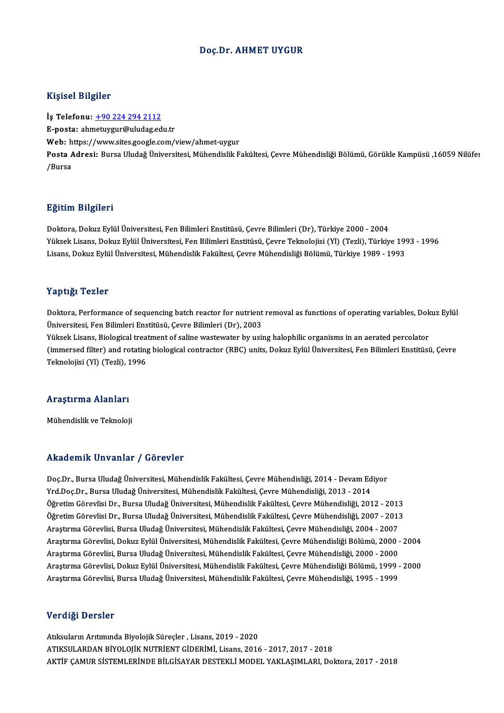#### Doç.Dr. AHMET UYGUR

#### Kişisel Bilgiler

İş Telefonu: +90 224 294 2112 E-posta: ah[metuygur@uludag.ed](tel:+90 224 294 2112)u.tr İş Telefonu: <u>+90 224 294 2112</u><br>E-posta: ahmetuygur@uludag.edu.tr<br>Web: https://www.sites.google.com/view/ahmet-uygur<br>Posta Adresi: Burse Uludağ Üniversitesi Mühandislik E Posta Adresi: Bursa Uludağ Üniversitesi, Mühendislik Fakültesi, Çevre Mühendisliği Bölümü, Görükle Kampüsü ,16059 Nilüfer<br>/Bursa Web: h<br>Posta *f*<br>/Bursa

#### Eğitim Bilgileri

**Eğitim Bilgileri**<br>Doktora, Dokuz Eylül Üniversitesi, Fen Bilimleri Enstitüsü, Çevre Bilimleri (Dr), Türkiye 2000 - 2004<br>Yüksek Lisans, Dokuz Eylül Üniversitesi, Fen Bilimleri Enstitüsü, Gevre Teknolojisi (Yl) (Terli), Tür 25. Samil 2 ngr. Sr.<br>Doktora, Dokuz Eylül Üniversitesi, Fen Bilimleri Enstitüsü, Çevre Bilimleri (Dr), Türkiye 2000 - 2004<br>Yüksek Lisans, Dokuz Eylül Üniversitesi, Fen Bilimleri Enstitüsü, Çevre Teknolojisi (Yl) (Tezli), T Yüksek Lisans, Dokuz Eylül Üniversitesi, Fen Bilimleri Enstitüsü, Çevre Teknolojisi (Yl) (Tezli), Türkiye 1993 - 1996<br>Lisans, Dokuz Eylül Üniversitesi, Mühendislik Fakültesi, Çevre Mühendisliği Bölümü, Türkiye 1989 - 1993

#### Yaptığı Tezler

Yaptığı Tezler<br>Doktora, Performance of sequencing batch reactor for nutrient removal as functions of operating variables, Dokuz Eylül<br>Üniversitesi, Ean Bilimleri Enstitüsü, Corre Bilimleri (Dr.), 2002 Tup 13, Tener<br>Doktora, Performance of sequencing batch reactor for nutrient<br>Üniversitesi, Fen Bilimleri Enstitüsü, Çevre Bilimleri (Dr), 2003<br>Vülgek Lisane, Bielegisel treetment of saline vretevreter by veit Doktora, Performance of sequencing batch reactor for nutrient removal as functions of operating variables, Dok<br>Üniversitesi, Fen Bilimleri Enstitüsü, Çevre Bilimleri (Dr), 2003<br>Yüksek Lisans, Biological treatment of saline Üniversitesi, Fen Bilimleri Enstitüsü, Çevre Bilimleri (Dr), 2003<br>Yüksek Lisans, Biological treatment of saline wastewater by using halophilic organisms in an aerated percolator<br>(immersed filter) and rotating biological co Yüksek Lisans, Biological trea<br>(immersed filter) and rotating<br>Teknolojisi (Yl) (Tezli), 1996

### reknolojisi (11) (1ezil), 1<br>Araştırma Alanları <mark>Araştırma Alanları</mark><br>Mühendislik ve Teknoloji

## Mühendislik ve Teknoloji<br>Akademik Unvanlar / Görevler

Doç.Dr., Bursa Uludağ Üniversitesi, Mühendislik Fakültesi, Çevre Mühendisliği, 2014 - Devam Ediyor Yrd.Doç.Dr.,BursaUludağÜniversitesi,MühendislikFakültesi,ÇevreMühendisliği,2013 -2014 Doç.Dr., Bursa Uludağ Üniversitesi, Mühendislik Fakültesi, Çevre Mühendisliği, 2014 - Devam Ediyor<br>Yrd.Doç.Dr., Bursa Uludağ Üniversitesi, Mühendislik Fakültesi, Çevre Mühendisliği, 2013 - 2014<br>Öğretim Görevlisi Dr., Bursa Yrd.Doç.Dr., Bursa Uludağ Üniversitesi, Mühendislik Fakültesi, Çevre Mühendisliği, 2013 - 2014<br>Öğretim Görevlisi Dr., Bursa Uludağ Üniversitesi, Mühendislik Fakültesi, Çevre Mühendisliği, 2012 - 2013<br>Öğretim Görevlisi Dr., Öğretim Görevlisi Dr., Bursa Uludağ Üniversitesi, Mühendislik Fakültesi, Çevre Mühendisliği, 2012 - 2013<br>Öğretim Görevlisi Dr., Bursa Uludağ Üniversitesi, Mühendislik Fakültesi, Çevre Mühendisliği, 2007 - 2013<br>Araştırma Gö Öğretim Görevlisi Dr., Bursa Uludağ Üniversitesi, Mühendislik Fakültesi, Çevre Mühendisliği, 2007 - 2013<br>Araştırma Görevlisi, Bursa Uludağ Üniversitesi, Mühendislik Fakültesi, Çevre Mühendisliği, 2004 - 2007<br>Araştırma Göre Araştırma Görevlisi, Bursa Uludağ Üniversitesi, Mühendislik Fakültesi, Çevre Mühendisliği, 2004 - 2007<br>Araştırma Görevlisi, Dokuz Eylül Üniversitesi, Mühendislik Fakültesi, Çevre Mühendisliği Bölümü, 2000 -<br>Araştırma Görev Araştırma Görevlisi, Dokuz Eylül Üniversitesi, Mühendislik Fakültesi, Çevre Mühendisliği Bölümü, 2000 - 2004<br>Araştırma Görevlisi, Bursa Uludağ Üniversitesi, Mühendislik Fakültesi, Çevre Mühendisliği, 2000 - 2000<br>Araştırma Araştırma Görevlisi, Bursa Uludağ Üniversitesi, Mühendislik Fakültesi, Çevre Mühendisliği, 2000 - 2000<br>Araştırma Görevlisi, Dokuz Eylül Üniversitesi, Mühendislik Fakültesi, Çevre Mühendisliği Bölümü, 1999 - 2000<br>Araştırma

#### Verdiği Dersler

Atıksuların Arıtımında Biyolojik Sürecler , Lisans, 2019 - 2020 ATIKSULARDANBİYOLOJİKNUTRİENTGİDERİMİ,Lisans,2016 -2017,2017 -2018 AKTİF ÇAMUR SİSTEMLERİNDE BİLGİSAYAR DESTEKLİ MODEL YAKLAŞIMLARI, Doktora, 2017 - 2018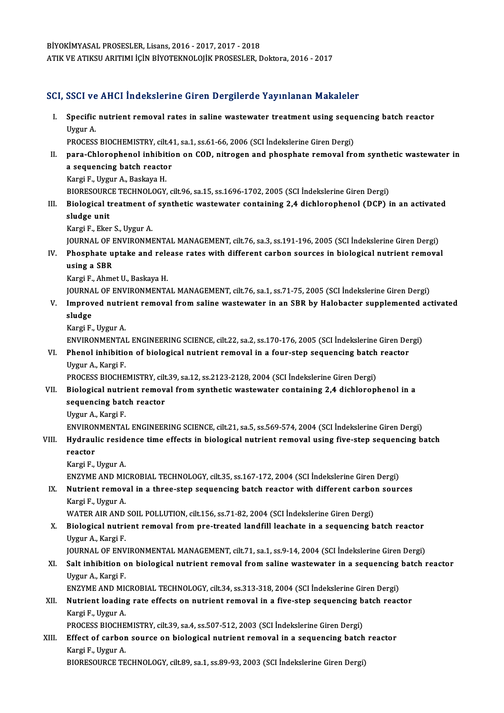BİYOKİMYASAL PROSESLER,Lisans,2016 -2017,2017 -2018 ATIK VE ATIKSU ARITIMI İÇİN BİYOTEKNOLOJİK PROSESLER, Doktora, 2016 - 2017

#### SCI, SSCI ve AHCI İndekslerine Giren Dergilerde Yayınlanan Makaleler

CI, SSCI ve AHCI İndekslerine Giren Dergilerde Yayınlanan Makaleler<br>I. Specific nutrient removal rates in saline wastewater treatment using sequencing batch reactor<br>Urgur A SSST<br>Specific<br>Uygur A.<br>PROCESS Specific nutrient removal rates in saline wastewater treatment using seque<br>Uygur A.<br>PROCESS BIOCHEMISTRY, cilt.41, sa.1, ss.61-66, 2006 (SCI İndekslerine Giren Dergi)<br>nara Chlaranhanal inhibitian an COD, nitragan and phasp Uygur A.<br>PROCESS BIOCHEMISTRY, cilt.41, sa.1, ss.61-66, 2006 (SCI İndekslerine Giren Dergi)<br>II. para-Chlorophenol inhibition on COD, nitrogen and phosphate removal from synthetic wastewater in<br>a sequencing batch reactor PROCESS BIOCHEMISTRY, cilt 41, sa 1, ss 61-66, 2006 (SCI Indekslerine Giren Dergi) Kargi F., Uygur A., Baskaya H. a sequencing batch reactor<br>Kargi F., Uygur A., Baskaya H.<br>BIORESOURCE TECHNOLOGY, cilt.96, sa.15, ss.1696-1702, 2005 (SCI İndekslerine Giren Dergi)<br>Pielogiael treatment of sunthatis wastewater sentaining 2.4 dishlerenbenel Kargi F., Uygur A., Baskaya H.<br>BIORESOURCE TECHNOLOGY, cilt.96, sa.15, ss.1696-1702, 2005 (SCI İndekslerine Giren Dergi)<br>III. Biological treatment of synthetic wastewater containing 2,4 dichlorophenol (DCP) in an activated BIORESOURC<br>Biological t<br>sludge unit<br>Kargi E. Ekot **Biological treatment of<br>sludge unit<br>Kargi F., Eker S., Uygur A.<br>JOUPMAL OF ENVIDONMI** sludge unit<br>Kargi F., Eker S., Uygur A.<br>JOURNAL OF ENVIRONMENTAL MANAGEMENT, cilt.76, sa.3, ss.191-196, 2005 (SCI İndekslerine Giren Dergi)<br>Phoenhete untake and release rates with different sarbon seurses in hielegisel put Kargi F., Eker S., Uygur A.<br>JOURNAL OF ENVIRONMENTAL MANAGEMENT, cilt.76, sa.3, ss.191-196, 2005 (SCI İndekslerine Giren Dergi)<br>IV. Phosphate uptake and release rates with different carbon sources in biological nutrien JOURNAL OF P<br>Phosphate u<br>using a SBR<br>Karri E Ahme IV. Phosphate uptake and release rates with different carbon sources in biological nutrient removal using a SBR<br>Kargi F., Ahmet U., Baskaya H. JOURNAL OF ENVIRONMENTAL MANAGEMENT, cilt.76, sa.1, ss.71-75, 2005 (SCI İndekslerine Giren Dergi) Kargi F., Ahmet U., Baskaya H.<br>JOURNAL OF ENVIRONMENTAL MANAGEMENT, cilt.76, sa.1, ss.71-75, 2005 (SCI İndekslerine Giren Dergi)<br>V. Improved nutrient removal from saline wastewater in an SBR by Halobacter supplemented a JOURNA<br>I<mark>mprov</mark><br>sludge<br><sup>Korgi F</sup> **Improved nutri<br>sludge<br>Kargi F., Uygur A.<br>ENVIRONMENTA!** sludge<br>Kargi F., Uygur A.<br>ENVIRONMENTAL ENGINEERING SCIENCE, cilt.22, sa.2, ss.170-176, 2005 (SCI İndekslerine Giren Dergi)<br>Phanel inhibition of biological nutriant removal in a four stan sequenging batab reaster Kargi F., Uygur A.<br>ENVIRONMENTAL ENGINEERING SCIENCE, cilt.22, sa.2, ss.170-176, 2005 (SCI İndekslerine Giren Despondent Reactor<br>VI. Phenol inhibition of biological nutrient removal in a four-step sequencing batch reactor<br> ENVIRONMENTA<br>Phenol inhibitio<br>Uygur A., Kargi F.<br>PROCESS PIOCHE PROCESS BIOCHEMISTRY, cilt.39, sa.12, ss.2123-2128, 2004 (SCI İndekslerine Giren Dergi) VII. Biological nutrient removal from synthetic wastewater containing 2,4 dichlorophenol in a PROCESS BIOCHEMISTRY, cilt<br>Biological nutrient remov<br>sequencing batch reactor<br>Urgun A. Kargi E **Biological nutri<br>sequencing bate<br>Uygur A., Kargi F.<br>ENVIDONMENTAL** Uygur A., Kargi F.<br>ENVIRONMENTAL ENGINEERING SCIENCE, cilt.21, sa.5, ss.569-574, 2004 (SCI İndekslerine Giren Dergi) Uygur A., Kargi F.<br>ENVIRONMENTAL ENGINEERING SCIENCE, cilt.21, sa.5, ss.569-574, 2004 (SCI İndekslerine Giren Dergi)<br>VIII. Hydraulic residence time effects in biological nutrient removal using five-step sequencing batc ENVIRON<br><mark>Hydraul</mark><br>reactor<br><sup>Kongi E</sup> Hydraulic resid<br>reactor<br>Kargi F., Uygur A.<br>ENZYME AND MI reactor<br>Kargi F., Uygur A.<br>ENZYME AND MICROBIAL TECHNOLOGY, cilt.35, ss.167-172, 2004 (SCI İndekslerine Giren Dergi)<br>Nutriont remeval in a three stan sequencing batch reactor with different sarbon seur. Kargi F., Uygur A.<br>ENZYME AND MICROBIAL TECHNOLOGY, cilt.35, ss.167-172, 2004 (SCI İndekslerine Giren Dergi)<br>IX. Nutrient removal in a three-step sequencing batch reactor with different carbon sources<br>Kargi E. Uygur A ENZYME AND MI<br><mark>Nutrient remov</mark><br>Kargi F., Uygur A.<br>WATER AIR AND Nutrient removal in a three-step sequencing batch reactor with different carbo:<br>Kargi F., Uygur A.<br>WATER AIR AND SOIL POLLUTION, cilt.156, ss.71-82, 2004 (SCI İndekslerine Giren Dergi)<br>Pielogisel putriont removal from pro Kargi F., Uygur A.<br>WATER AIR AND SOIL POLLUTION, cilt.156, ss.71-82, 2004 (SCI İndekslerine Giren Dergi)<br>X. Biological nutrient removal from pre-treated landfill leachate in a sequencing batch reactor<br>Uygur A. Kargi E WATER AIR AND<br><mark>Biological nutri</mark><br>Uygur A., Kargi F.<br>JOUPNAL OF ENV Biological nutrient removal from pre-treated landfill leachate in a sequencing batch reactor<br>Uygur A., Kargi F.<br>JOURNAL OF ENVIRONMENTAL MANAGEMENT, cilt.71, sa.1, ss.9-14, 2004 (SCI İndekslerine Giren Dergi)<br>Selt inhibiti Uygur A., Kargi F.<br>JOURNAL OF ENVIRONMENTAL MANAGEMENT, cilt.71, sa.1, ss.9-14, 2004 (SCI İndekslerine Giren Dergi)<br>XI. Salt inhibition on biological nutrient removal from saline wastewater in a sequencing batch reactor<br>Uy JOURNAL OF ENVIRONMENTAL MANAGEMENT, cilt.71, sa.1, ss.9-14, 2004 (SCI Indekslerine Giren Dergi) Salt inhibition on biological nutrient removal from saline wastewater in a sequencing<br>Uygur A., Kargi F.<br>ENZYME AND MICROBIAL TECHNOLOGY, cilt.34, ss.313-318, 2004 (SCI İndekslerine Giren Dergi)<br>Nutrient leading nate effec Uygur A., Kargi F.<br>ENZYME AND MICROBIAL TECHNOLOGY, cilt.34, ss.313-318, 2004 (SCI İndekslerine Giren Dergi)<br>XII. Nutrient loading rate effects on nutrient removal in a five-step sequencing batch reactor<br>Kargi E. Uygur ENZYME AND MI<br>Nutrient loadin<br>Kargi F., Uygur A.<br>PROCESS PIOCHE Nutrient loading rate effects on nutrient removal in a five-step sequencing b<br>Kargi F., Uygur A.<br>PROCESS BIOCHEMISTRY, cilt.39, sa.4, ss.507-512, 2003 (SCI İndekslerine Giren Dergi)<br>Fffect of sarbon source on biological pu Kargi F., Uygur A.<br>PROCESS BIOCHEMISTRY, cilt.39, sa.4, ss.507-512, 2003 (SCI İndekslerine Giren Dergi)<br>XIII. Effect of carbon source on biological nutrient removal in a sequencing batch reactor PROCESS BIOCHEMISTRY, cilt.39, sa.4, ss.507-512, 2003 (SCI Indekslerine Giren Dergi)<br>Effect of carbon source on biological nutrient removal in a sequencing batch<br>Kargi F., Uygur A.<br>BIORESOURCE TECHNOLOGY, cilt.89, sa.1, ss Effect of carbon source on biological nutrient removal in a sequencing batch<br>Kargi F., Uygur A.<br>BIORESOURCE TECHNOLOGY, cilt.89, sa.1, ss.89-93, 2003 (SCI İndekslerine Giren Dergi)